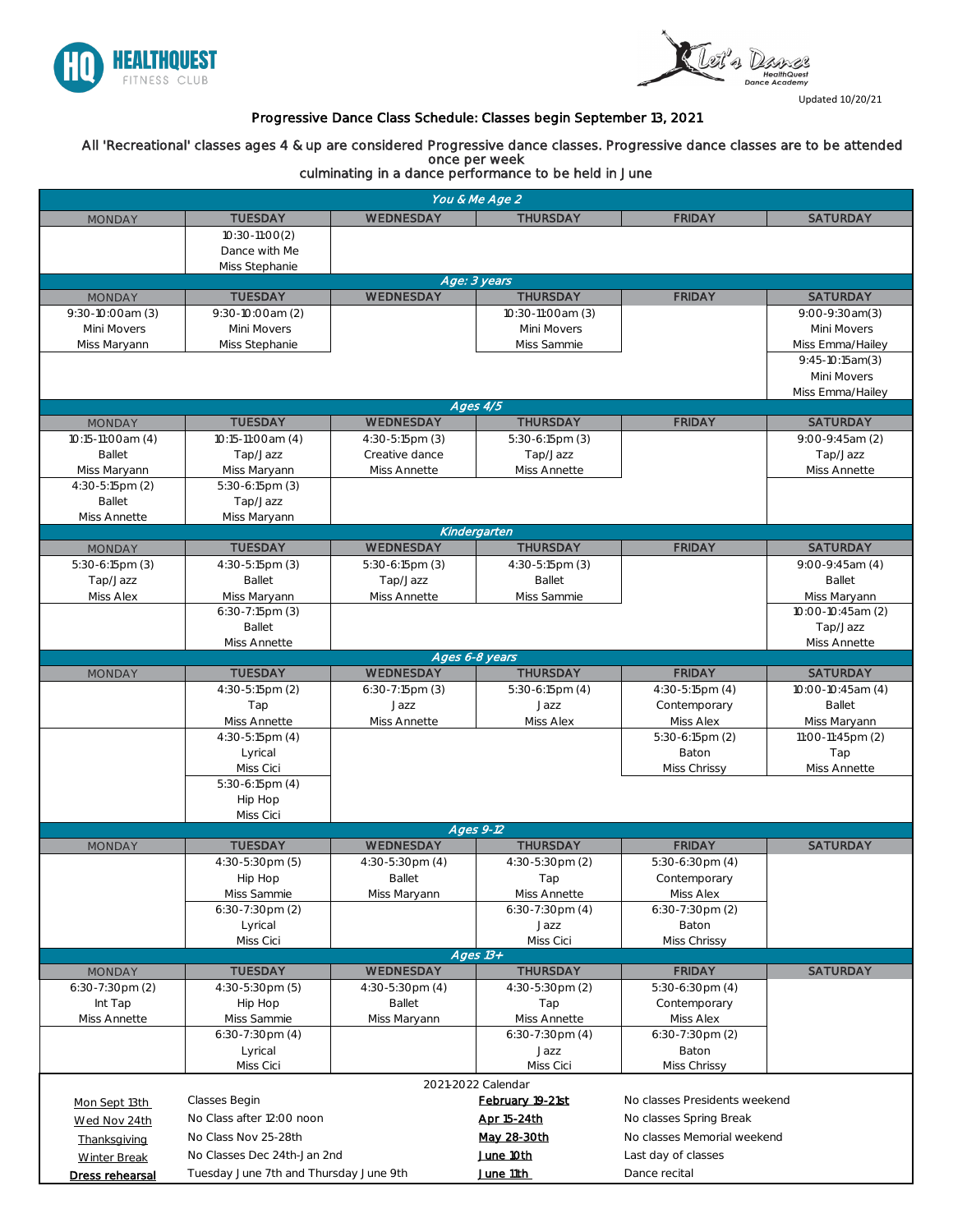



Updated 10/20/21

| You & Me Age 2            |                                        |                                            |                                                   |                                  |                     |  |  |
|---------------------------|----------------------------------------|--------------------------------------------|---------------------------------------------------|----------------------------------|---------------------|--|--|
| <b>MONDAY</b>             | <b>TUESDAY</b>                         | WEDNESDAY                                  | <b>THURSDAY</b>                                   | <b>FRIDAY</b>                    | <b>SATURDAY</b>     |  |  |
|                           | $10:30-11:00(2)$                       |                                            |                                                   |                                  |                     |  |  |
|                           | Dance with Me                          |                                            |                                                   |                                  |                     |  |  |
|                           | Miss Stephanie                         |                                            |                                                   |                                  |                     |  |  |
|                           |                                        |                                            | Age: 3 years                                      |                                  |                     |  |  |
| <b>MONDAY</b>             | <b>TUESDAY</b>                         | WEDNESDAY                                  | <b>THURSDAY</b>                                   | <b>FRIDAY</b>                    | <b>SATURDAY</b>     |  |  |
| $9:30-10:00am(3)$         | $9:30-10:00am(2)$                      |                                            | 10:30-11:00am (3)                                 |                                  | $9:00-9:30am(3)$    |  |  |
| Mini Movers               | Mini Movers                            |                                            | Mini Movers                                       |                                  | Mini Movers         |  |  |
| Miss Maryann              | Miss Stephanie                         |                                            | Miss Sammie                                       |                                  | Miss Emma/Hailey    |  |  |
|                           |                                        |                                            |                                                   |                                  | $9:45-10:15am(3)$   |  |  |
|                           |                                        |                                            |                                                   |                                  | Mini Movers         |  |  |
|                           |                                        |                                            | Ages 4/5                                          |                                  | Miss Emma/Hailey    |  |  |
| <b>MONDAY</b>             | <b>TUESDAY</b>                         | WEDNESDAY                                  | <b>THURSDAY</b>                                   | <b>FRIDAY</b>                    | <b>SATURDAY</b>     |  |  |
| 10:15-11:00am (4)         | 10:15-11:00am (4)                      | $4:30-5:15 \text{pm}$ (3)                  | $5:30-6:15pm(3)$                                  |                                  | $9:00-9:45am(2)$    |  |  |
| <b>Ballet</b>             | Tap/Jazz                               | Creative dance                             | Tap/Jazz                                          |                                  | Tap/Jazz            |  |  |
| Miss Maryann              | Miss Maryann                           | Miss Annette                               | Miss Annette                                      |                                  | <b>Miss Annette</b> |  |  |
| $4:30-5:15 \text{pm}$ (2) | $5:30-6:15pm(3)$                       |                                            |                                                   |                                  |                     |  |  |
| <b>Ballet</b>             | Tap/Jazz                               |                                            |                                                   |                                  |                     |  |  |
| Miss Annette              | Miss Maryann                           |                                            |                                                   |                                  |                     |  |  |
|                           |                                        |                                            | Kindergarten                                      |                                  |                     |  |  |
| <b>MONDAY</b>             | <b>TUESDAY</b>                         | WEDNESDAY                                  | <b>THURSDAY</b>                                   | <b>FRIDAY</b>                    | <b>SATURDAY</b>     |  |  |
| $5:30-6:15pm(3)$          | $4:30-5:15pm(3)$                       | $5:30-6:15pm(3)$                           | $4:30-5:15pm(3)$                                  |                                  | $9:00-9:45am(4)$    |  |  |
| Tap/Jazz                  | <b>Ballet</b>                          | Tap/Jazz                                   | <b>Ballet</b>                                     |                                  | <b>Ballet</b>       |  |  |
| <b>Miss Alex</b>          | Miss Maryann                           | Miss Annette                               | Miss Sammie                                       |                                  | Miss Maryann        |  |  |
|                           | $6:30-7:15pm(3)$                       |                                            |                                                   |                                  | 10:00-10:45am (2)   |  |  |
|                           | <b>Ballet</b>                          |                                            |                                                   |                                  | Tap/Jazz            |  |  |
|                           | Miss Annette                           |                                            | Ages 6-8 years                                    |                                  | Miss Annette        |  |  |
| <b>MONDAY</b>             | <b>TUESDAY</b>                         | WEDNESDAY                                  | <b>THURSDAY</b>                                   | <b>FRIDAY</b>                    | <b>SATURDAY</b>     |  |  |
|                           | 4:30-5:15pm (2)                        | $6:30-7:15pm(3)$                           | $5:30-6:15pm(4)$                                  | $4:30-5:15pm(4)$                 | 10:00-10:45am (4)   |  |  |
|                           | Tap                                    | Jazz                                       | Jazz                                              | Contemporary                     | <b>Ballet</b>       |  |  |
|                           | <b>Miss Annette</b>                    | Miss Annette                               | Miss Alex                                         | Miss Alex                        | Miss Maryann        |  |  |
|                           | $4:30-5:15pm(4)$                       |                                            |                                                   | $5:30-6:15pm(2)$                 | 11:00-11:45pm (2)   |  |  |
|                           | Lyrical                                |                                            |                                                   | Baton                            | Tap                 |  |  |
|                           | Miss Cici                              |                                            |                                                   | Miss Chrissy                     | <b>Miss Annette</b> |  |  |
|                           | $5:30-6:15pm(4)$                       |                                            |                                                   |                                  |                     |  |  |
|                           | Hip Hop                                |                                            |                                                   |                                  |                     |  |  |
|                           | Miss Cici                              |                                            |                                                   |                                  |                     |  |  |
|                           |                                        |                                            | Ages 9-12                                         |                                  |                     |  |  |
| <b>MONDAY</b>             | <b>TUESDAY</b>                         | WEDNESDAY                                  | <b>THURSDAY</b>                                   | <b>FRIDAY</b>                    | <b>SATURDAY</b>     |  |  |
|                           | $4:30-5:30 \text{pm}$ (5)              | $4:30-5:30 \text{pm}$ (4)<br><b>Ballet</b> | $4:30-5:30 \text{pm}$ (2)                         | $5:30-6:30$ pm $(4)$             |                     |  |  |
|                           | Hip Hop<br>Miss Sammie                 | Miss Maryann                               | Tap<br><b>Miss Annette</b>                        | Contemporary<br><b>Miss Alex</b> |                     |  |  |
|                           | $6:30-7:30$ pm $(2)$                   |                                            | $6:30-7:30 \text{pm} (4)$                         | $6:30-7:30$ pm $(2)$             |                     |  |  |
|                           | Lyrical                                |                                            | Jazz                                              | Baton                            |                     |  |  |
|                           | Miss Cici                              |                                            | Miss Cici                                         | Miss Chrissy                     |                     |  |  |
|                           |                                        |                                            | Ages $13+$                                        |                                  |                     |  |  |
| <b>MONDAY</b>             | <b>TUESDAY</b>                         | WEDNESDAY                                  | <b>THURSDAY</b>                                   | <b>FRIDAY</b>                    | <b>SATURDAY</b>     |  |  |
| $6:30-7:30$ pm $(2)$      | $4:30-5:30 \text{pm}$ (5)              | $4:30-5:30 \text{pm}$ (4)                  | $4:30-5:30 \text{pm}$ (2)                         | $5:30-6:30$ pm $(4)$             |                     |  |  |
| Int Tap                   | Hip Hop                                | <b>Ballet</b>                              | Tap                                               | Contemporary                     |                     |  |  |
| Miss Annette              | Miss Sammie                            | Miss Maryann                               | <b>Miss Annette</b>                               | Miss Alex                        |                     |  |  |
|                           | $6:30-7:30$ pm $(4)$                   |                                            | $6:30-7:30 \text{pm} (4)$                         | $6:30-7:30$ pm $(2)$             |                     |  |  |
|                           | Lyrical                                |                                            | Jazz                                              | <b>Baton</b>                     |                     |  |  |
|                           | Miss Cici                              |                                            | Miss Cici                                         | Miss Chrissy                     |                     |  |  |
|                           |                                        |                                            | 2021-2022 Calendar                                |                                  |                     |  |  |
| Mon Sept 13th             | Classes Begin                          |                                            | No classes Presidents weekend<br>February 19-21st |                                  |                     |  |  |
| Wed Nov 24th              | No Class after 12:00 noon              |                                            | Apr 15-24th<br>No classes Spring Break            |                                  |                     |  |  |
| Thanksgiving              | No Class Nov 25-28th                   |                                            | No classes Memorial weekend<br>May 28-30th        |                                  |                     |  |  |
| <b>Winter Break</b>       | No Classes Dec 24th-Jan 2nd            |                                            | June 10th<br>Last day of classes                  |                                  |                     |  |  |
| Dress rehearsal           | Tuesday June 7th and Thursday June 9th |                                            | June 11th                                         | Dance recital                    |                     |  |  |

## Progressive Dance Class Schedule: Classes begin September 13, 2021

 All 'Recreational' classes ages 4 & up are considered Progressive dance classes. Progressive dance classes are to be attended once per week

culminating in a dance performance to be held in June